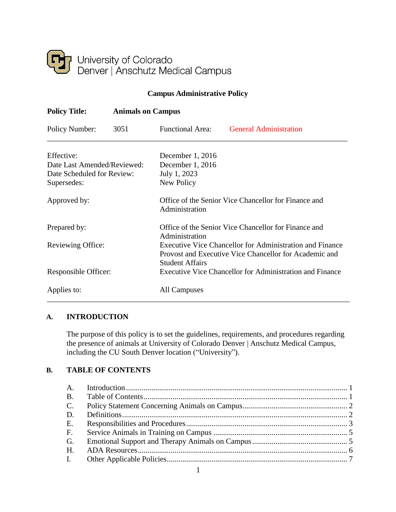

# **Campus Administrative Policy**

| <b>Policy Title:</b>                                                                   | <b>Animals on Campus</b> |                                                                                                                                              |                               |  |
|----------------------------------------------------------------------------------------|--------------------------|----------------------------------------------------------------------------------------------------------------------------------------------|-------------------------------|--|
| Policy Number:                                                                         | 3051                     | <b>Functional Area:</b>                                                                                                                      | <b>General Administration</b> |  |
| Effective:<br>Date Last Amended/Reviewed:<br>Date Scheduled for Review:<br>Supersedes: |                          | December 1, 2016<br>December $1, 2016$<br>July 1, 2023<br>New Policy                                                                         |                               |  |
| Approved by:                                                                           |                          | Office of the Senior Vice Chancellor for Finance and<br>Administration                                                                       |                               |  |
| Prepared by:                                                                           |                          | Office of the Senior Vice Chancellor for Finance and<br>Administration                                                                       |                               |  |
| Reviewing Office:                                                                      |                          | Executive Vice Chancellor for Administration and Finance<br>Provost and Executive Vice Chancellor for Academic and<br><b>Student Affairs</b> |                               |  |
| Responsible Officer:                                                                   |                          | Executive Vice Chancellor for Administration and Finance                                                                                     |                               |  |
| Applies to:                                                                            |                          | All Campuses                                                                                                                                 |                               |  |

## <span id="page-0-0"></span>**A. INTRODUCTION**

The purpose of this policy is to set the guidelines, requirements, and procedures regarding the presence of animals at University of Colorado Denver | Anschutz Medical Campus, including the CU South Denver location ("University").

#### <span id="page-0-1"></span>**B. TABLE OF CONTENTS**

| B <sub>1</sub> |  |
|----------------|--|
| $C_{\cdot}$    |  |
| D.             |  |
| E.             |  |
| F <sub>1</sub> |  |
| G.             |  |
| H <sub>1</sub> |  |
| $\mathbf{I}$ . |  |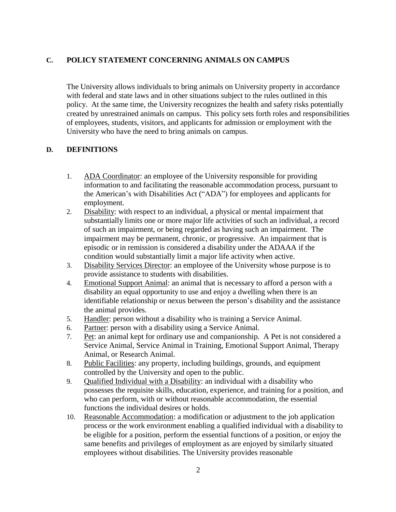## <span id="page-1-0"></span>**C. POLICY STATEMENT CONCERNING ANIMALS ON CAMPUS**

The University allows individuals to bring animals on University property in accordance with federal and state laws and in other situations subject to the rules outlined in this policy. At the same time, the University recognizes the health and safety risks potentially created by unrestrained animals on campus. This policy sets forth roles and responsibilities of employees, students, visitors, and applicants for admission or employment with the University who have the need to bring animals on campus.

### <span id="page-1-1"></span>**D. DEFINITIONS**

- 1. ADA Coordinator: an employee of the University responsible for providing information to and facilitating the reasonable accommodation process, pursuant to the American's with Disabilities Act ("ADA") for employees and applicants for employment.
- 2. Disability: with respect to an individual, a physical or mental impairment that substantially limits one or more major life activities of such an individual, a record of such an impairment, or being regarded as having such an impairment. The impairment may be permanent, chronic, or progressive. An impairment that is episodic or in remission is considered a disability under the ADAAA if the condition would substantially limit a major life activity when active.
- 3. Disability Services Director: an employee of the University whose purpose is to provide assistance to students with disabilities.
- 4. Emotional Support Animal: an animal that is necessary to afford a person with a disability an equal opportunity to use and enjoy a dwelling when there is an identifiable relationship or nexus between the person's disability and the assistance the animal provides.
- 5. Handler: person without a disability who is training a Service Animal.
- 6. Partner: person with a disability using a Service Animal.
- 7. Pet: an animal kept for ordinary use and companionship. A Pet is not considered a Service Animal, Service Animal in Training, Emotional Support Animal, Therapy Animal, or Research Animal.
- 8. Public Facilities: any property, including buildings, grounds, and equipment controlled by the University and open to the public.
- 9. Qualified Individual with a Disability: an individual with a disability who possesses the requisite skills, education, experience, and training for a position, and who can perform, with or without reasonable accommodation, the essential functions the individual desires or holds.
- 10. Reasonable Accommodation: a modification or adjustment to the job application process or the work environment enabling a qualified individual with a disability to be eligible for a position, perform the essential functions of a position, or enjoy the same benefits and privileges of employment as are enjoyed by similarly situated employees without disabilities. The University provides reasonable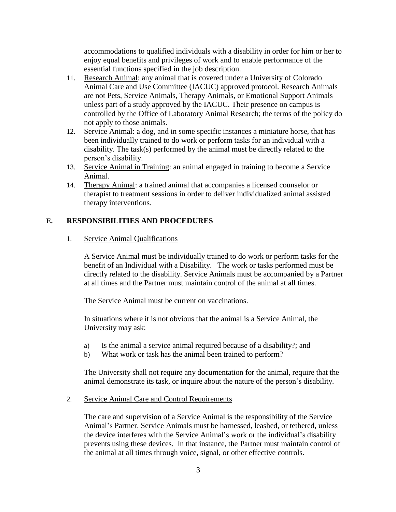accommodations to qualified individuals with a disability in order for him or her to enjoy equal benefits and privileges of work and to enable performance of the essential functions specified in the job description.

- 11. Research Animal: any animal that is covered under a University of Colorado Animal Care and Use Committee (IACUC) approved protocol. Research Animals are not Pets, Service Animals, Therapy Animals, or Emotional Support Animals unless part of a study approved by the IACUC. Their presence on campus is controlled by the Office of Laboratory Animal Research; the terms of the policy do not apply to those animals.
- 12. Service Animal: a dog, and in some specific instances a miniature horse, that has been individually trained to do work or perform tasks for an individual with a disability. The task(s) performed by the animal must be directly related to the person's disability.
- 13. Service Animal in Training: an animal engaged in training to become a Service Animal.
- 14. Therapy Animal: a trained animal that accompanies a licensed counselor or therapist to treatment sessions in order to deliver individualized animal assisted therapy interventions.

## <span id="page-2-0"></span>**E. RESPONSIBILITIES AND PROCEDURES**

#### 1. Service Animal Qualifications

A Service Animal must be individually trained to do work or perform tasks for the benefit of an Individual with a Disability. The work or tasks performed must be directly related to the disability. Service Animals must be accompanied by a Partner at all times and the Partner must maintain control of the animal at all times.

The Service Animal must be current on vaccinations.

In situations where it is not obvious that the animal is a Service Animal, the University may ask:

- a) Is the animal a service animal required because of a disability?; and
- b) What work or task has the animal been trained to perform?

The University shall not require any documentation for the animal, require that the animal demonstrate its task, or inquire about the nature of the person's disability.

### 2. Service Animal Care and Control Requirements

The care and supervision of a Service Animal is the responsibility of the Service Animal's Partner. Service Animals must be harnessed, leashed, or tethered, unless the device interferes with the Service Animal's work or the individual's disability prevents using these devices. In that instance, the Partner must maintain control of the animal at all times through voice, signal, or other effective controls.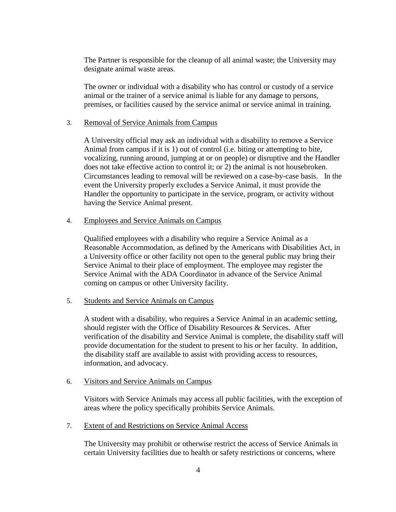The Partner is responsible for the cleanup of all animal waste; the University may designate animal waste areas.

The owner or individual with a disability who has control or custody of a service animal or the trainer of a service animal is liable for any damage to persons, premises, or facilities caused by the service animal or service animal in training.

#### 3. Removal of Service Animals from Campus

A University official may ask an individual with a disability to remove a Service Animal from campus if it is 1) out of control (i.e. biting or attempting to bite, vocalizing, running around, jumping at or on people) or disruptive and the Handler does not take effective action to control it; or 2) the animal is not housebroken. Circumstances leading to removal will be reviewed on a case-by-case basis. In the event the University properly excludes a Service Animal, it must provide the Handler the opportunity to participate in the service, program, or activity without having the Service Animal present.

#### 4. Employees and Service Animals on Campus

Qualified employees with a disability who require a Service Animal as a Reasonable Accommodation, as defined by the Americans with Disabilities Act, in a University office or other facility not open to the general public may bring their Service Animal to their place of employment. The employee may register the Service Animal with the ADA Coordinator in advance of the Service Animal coming on campus or other University facility.

#### 5. Students and Service Animals on Campus

A student with a disability, who requires a Service Animal in an academic setting, should register with the Office of Disability Resources & Services. After verification of the disability and Service Animal is complete, the disability staff will provide documentation for the student to present to his or her faculty. In addition, the disability staff are available to assist with providing access to resources, information, and advocacy.

#### 6. Visitors and Service Animals on Campus

Visitors with Service Animals may access all public facilities, with the exception of areas where the policy specifically prohibits Service Animals.

#### 7. Extent of and Restrictions on Service Animal Access

The University may prohibit or otherwise restrict the access of Service Animals in certain University facilities due to health or safety restrictions or concerns, where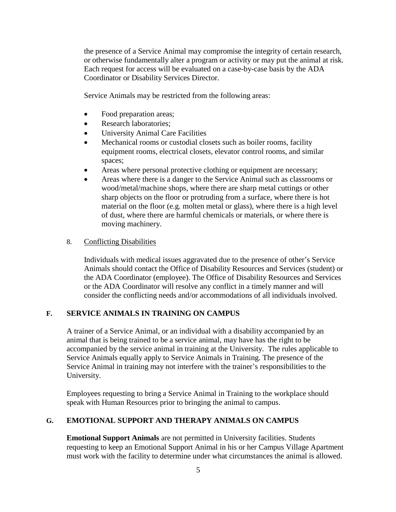the presence of a Service Animal may compromise the integrity of certain research, or otherwise fundamentally alter a program or activity or may put the animal at risk. Each request for access will be evaluated on a case-by-case basis by the ADA Coordinator or Disability Services Director.

Service Animals may be restricted from the following areas:

- Food preparation areas;
- Research laboratories;
- University Animal Care Facilities
- Mechanical rooms or custodial closets such as boiler rooms, facility equipment rooms, electrical closets, elevator control rooms, and similar spaces;
- Areas where personal protective clothing or equipment are necessary;
- Areas where there is a danger to the Service Animal such as classrooms or wood/metal/machine shops, where there are sharp metal cuttings or other sharp objects on the floor or protruding from a surface, where there is hot material on the floor (e.g. molten metal or glass), where there is a high level of dust, where there are harmful chemicals or materials, or where there is moving machinery.

#### 8. Conflicting Disabilities

Individuals with medical issues aggravated due to the presence of other's Service Animals should contact the Office of Disability Resources and Services (student) or the ADA Coordinator (employee). The Office of Disability Resources and Services or the ADA Coordinator will resolve any conflict in a timely manner and will consider the conflicting needs and/or accommodations of all individuals involved.

## <span id="page-4-0"></span>**F. SERVICE ANIMALS IN TRAINING ON CAMPUS**

A trainer of a Service Animal, or an individual with a disability accompanied by an animal that is being trained to be a service animal, may have has the right to be accompanied by the service animal in training at the University. The rules applicable to Service Animals equally apply to Service Animals in Training. The presence of the Service Animal in training may not interfere with the trainer's responsibilities to the University.

Employees requesting to bring a Service Animal in Training to the workplace should speak with Human Resources prior to bringing the animal to campus.

### <span id="page-4-1"></span>**G. EMOTIONAL SUPPORT AND THERAPY ANIMALS ON CAMPUS**

**Emotional Support Animals** are not permitted in University facilities. Students requesting to keep an Emotional Support Animal in his or her Campus Village Apartment must work with the facility to determine under what circumstances the animal is allowed.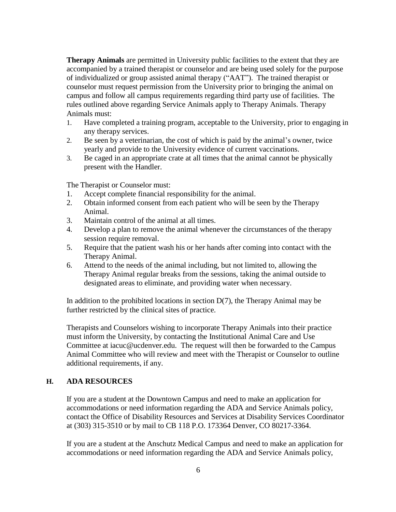**Therapy Animals** are permitted in University public facilities to the extent that they are accompanied by a trained therapist or counselor and are being used solely for the purpose of individualized or group assisted animal therapy ("AAT"). The trained therapist or counselor must request permission from the University prior to bringing the animal on campus and follow all campus requirements regarding third party use of facilities. The rules outlined above regarding Service Animals apply to Therapy Animals. Therapy Animals must:

- 1. Have completed a training program, acceptable to the University, prior to engaging in any therapy services.
- 2. Be seen by a veterinarian, the cost of which is paid by the animal's owner, twice yearly and provide to the University evidence of current vaccinations.
- 3. Be caged in an appropriate crate at all times that the animal cannot be physically present with the Handler.

The Therapist or Counselor must:

- 1. Accept complete financial responsibility for the animal.
- 2. Obtain informed consent from each patient who will be seen by the Therapy Animal.
- 3. Maintain control of the animal at all times.
- 4. Develop a plan to remove the animal whenever the circumstances of the therapy session require removal.
- 5. Require that the patient wash his or her hands after coming into contact with the Therapy Animal.
- 6. Attend to the needs of the animal including, but not limited to, allowing the Therapy Animal regular breaks from the sessions, taking the animal outside to designated areas to eliminate, and providing water when necessary.

In addition to the prohibited locations in section  $D(7)$ , the Therapy Animal may be further restricted by the clinical sites of practice.

Therapists and Counselors wishing to incorporate Therapy Animals into their practice must inform the University, by contacting the Institutional Animal Care and Use Committee at [iacuc@ucdenver.edu. T](mailto:iacuc@ucdenver.edu)he request will then be forwarded to the Campus Animal Committee who will review and meet with the Therapist or Counselor to outline additional requirements, if any.

## <span id="page-5-0"></span>**H. ADA RESOURCES**

If you are a student at the Downtown Campus and need to make an application for accommodations or need information regarding the ADA and Service Animals policy, contact the Office of Disability Resources and Services at Disability Services Coordinator at (303) 315-3510 or by mail to CB 118 P.O. 173364 Denver, CO 80217-3364.

If you are a student at the Anschutz Medical Campus and need to make an application for accommodations or need information regarding the ADA and Service Animals policy,